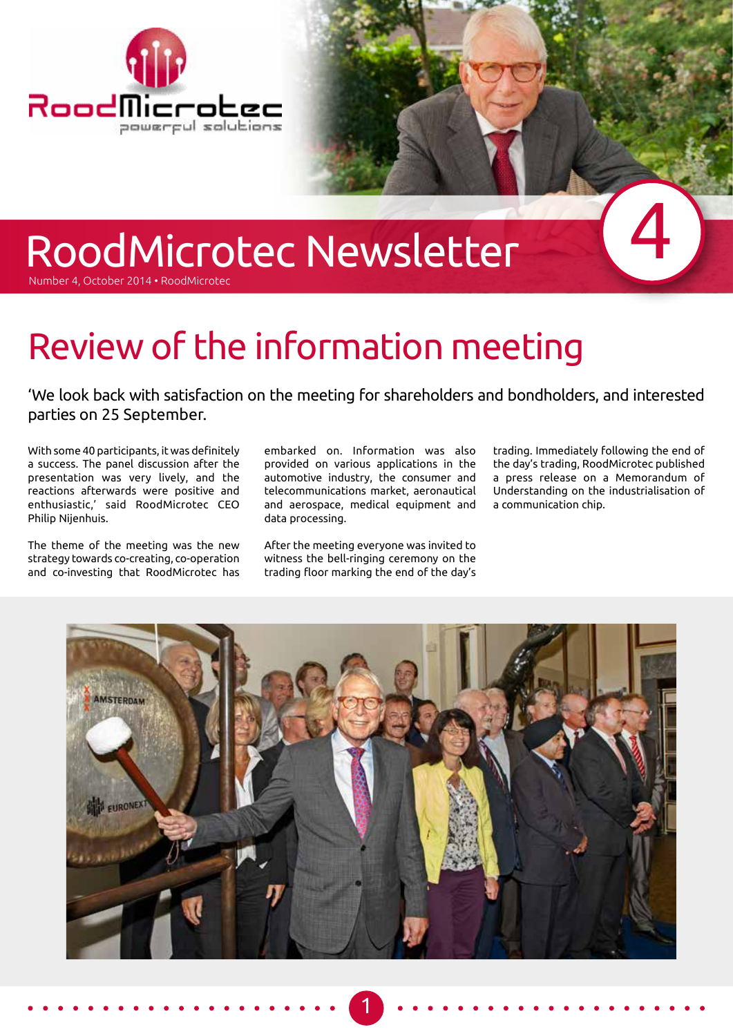

# RoodMicrotec Newsletter

Number 4, October 2014 • RoodMicrotec

## Review of the information meeting

'We look back with satisfaction on the meeting for shareholders and bondholders, and interested parties on 25 September.

With some 40 participants, it was definitely a success. The panel discussion after the presentation was very lively, and the reactions afterwards were positive and enthusiastic,' said RoodMicrotec CEO Philip Nijenhuis.

The theme of the meeting was the new strategy towards co-creating, co-operation and co-investing that RoodMicrotec has

embarked on. Information was also provided on various applications in the automotive industry, the consumer and telecommunications market, aeronautical and aerospace, medical equipment and data processing.

After the meeting everyone was invited to witness the bell-ringing ceremony on the trading floor marking the end of the day's trading. Immediately following the end of the day's trading, RoodMicrotec published a press release on a Memorandum of Understanding on the industrialisation of a communication chip.

4



1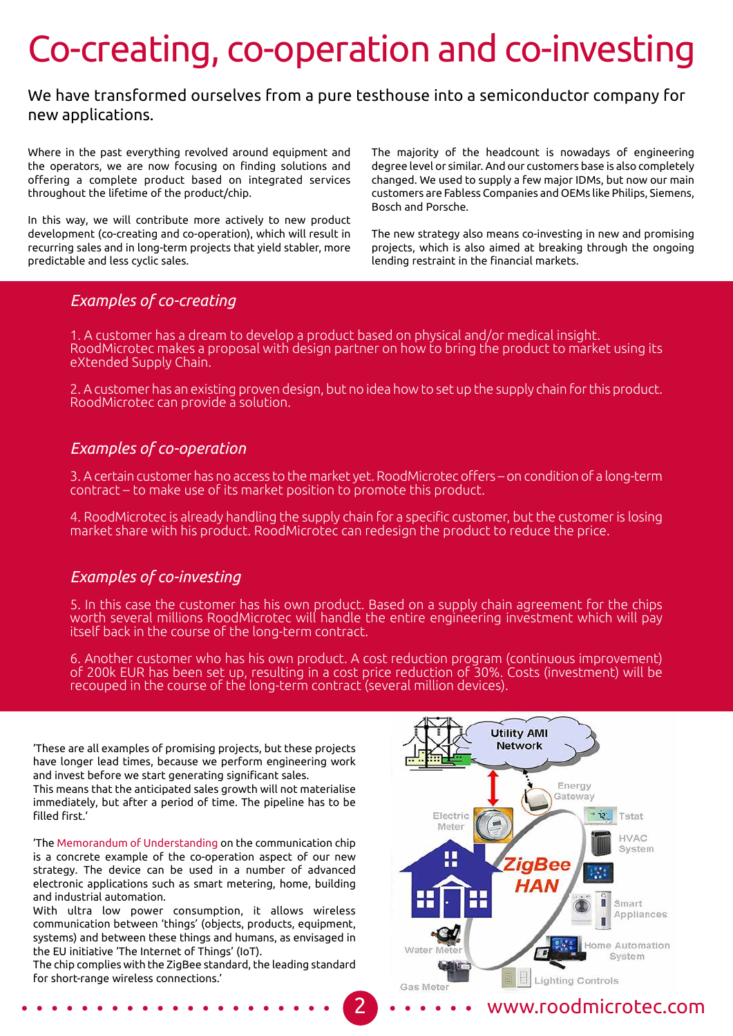### Co-creating, co-operation and co-investing

#### We have transformed ourselves from a pure testhouse into a semiconductor company for new applications.

Where in the past everything revolved around equipment and the operators, we are now focusing on finding solutions and offering a complete product based on integrated services throughout the lifetime of the product/chip.

In this way, we will contribute more actively to new product development (co-creating and co-operation), which will result in recurring sales and in long-term projects that yield stabler, more predictable and less cyclic sales.

The majority of the headcount is nowadays of engineering degree level or similar. And our customers base is also completely changed. We used to supply a few major IDMs, but now our main customers are Fabless Companies and OEMs like Philips, Siemens, Bosch and Porsche.

The new strategy also means co-investing in new and promising projects, which is also aimed at breaking through the ongoing lending restraint in the financial markets.

#### *Examples of co-creating*

1. A customer has a dream to develop a product based on physical and/or medical insight. RoodMicrotec makes a proposal with design partner on how to bring the product to market using its eXtended Supply Chain.

2. A customer has an existing proven design, but no idea how to set up the supply chain for this product. RoodMicrotec can provide a solution.

#### *Examples of co-operation*

3. A certain customer has no access to the market yet. RoodMicrotec offers – on condition of a long-term contract – to make use of its market position to promote this product.

4. RoodMicrotec is already handling the supply chain for a specific customer, but the customer is losing market share with his product. RoodMicrotec can redesign the product to reduce the price.

#### *Examples of co-investing*

5. In this case the customer has his own product. Based on a supply chain agreement for the chips worth several millions RoodMicrotec will handle the entire engineering investment which will pay itself back in the course of the long-term contract.

6. Another customer who has his own product. A cost reduction program (continuous improvement) of 200k EUR has been set up, resulting in a cost price reduction of 30%. Costs (investment) will be recouped in the course of the long-term contract (several million devices).

'These are all examples of promising projects, but these projects have longer lead times, because we perform engineering work and invest before we start generating significant sales.

This means that the anticipated sales growth will not materialise immediately, but after a period of time. The pipeline has to be filled first.'

'The Memorandum of Understanding on the communication chip is a concrete example of the co-operation aspect of our new strategy. The device can be used in a number of advanced electronic applications such as smart metering, home, building and industrial automation.

With ultra low power consumption, it allows wireless communication between 'things' (objects, products, equipment, systems) and between these things and humans, as envisaged in the EU initiative 'The Internet of Things' (IoT).

The chip complies with the ZigBee standard, the leading standard for short-range wireless connections.'